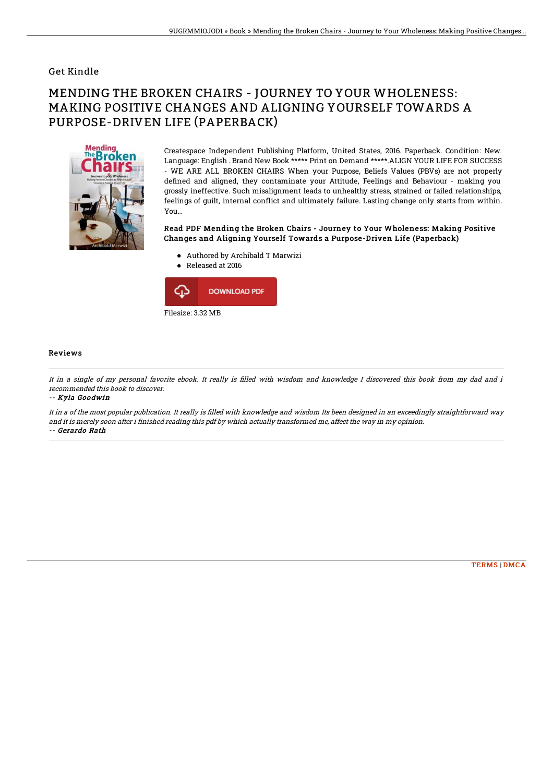### Get Kindle

# MENDING THE BROKEN CHAIRS - JOURNEY TO YOUR WHOLENESS: MAKING POSITIVE CHANGES AND ALIGNING YOURSELF TOWARDS A PURPOSE-DRIVEN LIFE (PAPERBACK)



Createspace Independent Publishing Platform, United States, 2016. Paperback. Condition: New. Language: English . Brand New Book \*\*\*\*\* Print on Demand \*\*\*\*\*.ALIGN YOUR LIFE FOR SUCCESS - WE ARE ALL BROKEN CHAIRS When your Purpose, Beliefs Values (PBVs) are not properly defined and aligned, they contaminate your Attitude, Feelings and Behaviour - making you grossly ineffective. Such misalignment leads to unhealthy stress, strained or failed relationships, feelings of quilt, internal conflict and ultimately failure. Lasting change only starts from within. You...

#### Read PDF Mending the Broken Chairs - Journey to Your Wholeness: Making Positive Changes and Aligning Yourself Towards a Purpose-Driven Life (Paperback)

- Authored by Archibald T Marwizi
- Released at 2016  $\bullet$



#### Reviews

It in a single of my personal favorite ebook. It really is filled with wisdom and knowledge I discovered this book from my dad and i recommended this book to discover.

-- Kyla Goodwin

It in a of the most popular publication. It really is filled with knowledge and wisdom Its been designed in an exceedingly straightforward way and it is merely soon after i finished reading this pdf by which actually transformed me, affect the way in my opinion. -- Gerardo Rath